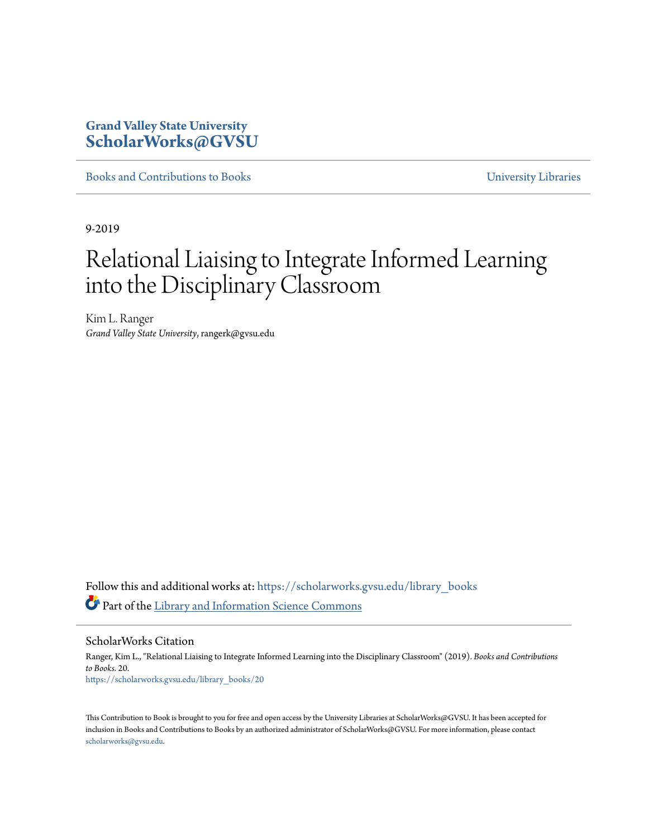## **Grand Valley State University [ScholarWorks@GVSU](https://scholarworks.gvsu.edu/?utm_source=scholarworks.gvsu.edu%2Flibrary_books%2F20&utm_medium=PDF&utm_campaign=PDFCoverPages)**

[Books and Contributions to Books](https://scholarworks.gvsu.edu/library_books?utm_source=scholarworks.gvsu.edu%2Flibrary_books%2F20&utm_medium=PDF&utm_campaign=PDFCoverPages) **Example 2018** [University Libraries](https://scholarworks.gvsu.edu/library?utm_source=scholarworks.gvsu.edu%2Flibrary_books%2F20&utm_medium=PDF&utm_campaign=PDFCoverPages)

9-2019

# Relational Liaising to Integrate Informed Learning into the Disciplinary Classroom

Kim L. Ranger *Grand Valley State University*, rangerk@gvsu.edu

Follow this and additional works at: [https://scholarworks.gvsu.edu/library\\_books](https://scholarworks.gvsu.edu/library_books?utm_source=scholarworks.gvsu.edu%2Flibrary_books%2F20&utm_medium=PDF&utm_campaign=PDFCoverPages) Part of the [Library and Information Science Commons](http://network.bepress.com/hgg/discipline/1018?utm_source=scholarworks.gvsu.edu%2Flibrary_books%2F20&utm_medium=PDF&utm_campaign=PDFCoverPages)

ScholarWorks Citation

Ranger, Kim L., "Relational Liaising to Integrate Informed Learning into the Disciplinary Classroom" (2019). *Books and Contributions to Books*. 20. [https://scholarworks.gvsu.edu/library\\_books/20](https://scholarworks.gvsu.edu/library_books/20?utm_source=scholarworks.gvsu.edu%2Flibrary_books%2F20&utm_medium=PDF&utm_campaign=PDFCoverPages)

This Contribution to Book is brought to you for free and open access by the University Libraries at ScholarWorks@GVSU. It has been accepted for inclusion in Books and Contributions to Books by an authorized administrator of ScholarWorks@GVSU. For more information, please contact [scholarworks@gvsu.edu](mailto:scholarworks@gvsu.edu).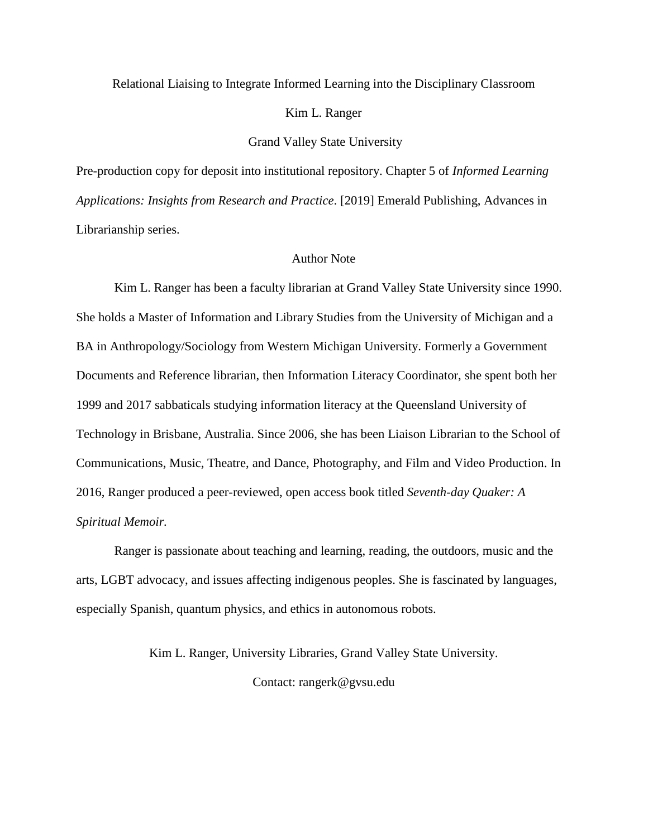#### Relational Liaising to Integrate Informed Learning into the Disciplinary Classroom

#### Kim L. Ranger

#### Grand Valley State University

Pre-production copy for deposit into institutional repository. Chapter 5 of *Informed Learning Applications: Insights from Research and Practice*. [2019] Emerald Publishing, Advances in Librarianship series.

#### Author Note

Kim L. Ranger has been a faculty librarian at Grand Valley State University since 1990. She holds a Master of Information and Library Studies from the University of Michigan and a BA in Anthropology/Sociology from Western Michigan University. Formerly a Government Documents and Reference librarian, then Information Literacy Coordinator, she spent both her 1999 and 2017 sabbaticals studying information literacy at the Queensland University of Technology in Brisbane, Australia. Since 2006, she has been Liaison Librarian to the School of Communications, Music, Theatre, and Dance, Photography, and Film and Video Production. In 2016, Ranger produced a peer-reviewed, open access book titled *Seventh-day Quaker: A Spiritual Memoir.*

Ranger is passionate about teaching and learning, reading, the outdoors, music and the arts, LGBT advocacy, and issues affecting indigenous peoples. She is fascinated by languages, especially Spanish, quantum physics, and ethics in autonomous robots.

Kim L. Ranger, University Libraries, Grand Valley State University.

Contact: rangerk@gvsu.edu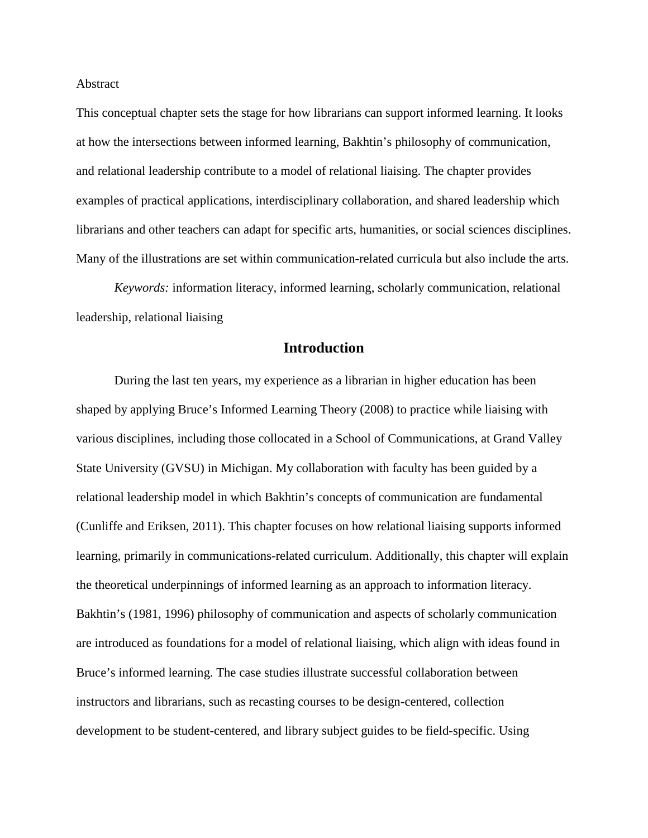Abstract

This conceptual chapter sets the stage for how librarians can support informed learning. It looks at how the intersections between informed learning, Bakhtin's philosophy of communication, and relational leadership contribute to a model of relational liaising. The chapter provides examples of practical applications, interdisciplinary collaboration, and shared leadership which librarians and other teachers can adapt for specific arts, humanities, or social sciences disciplines. Many of the illustrations are set within communication-related curricula but also include the arts.

*Keywords:* information literacy, informed learning, scholarly communication, relational leadership, relational liaising

## **Introduction**

During the last ten years, my experience as a librarian in higher education has been shaped by applying Bruce's Informed Learning Theory (2008) to practice while liaising with various disciplines, including those collocated in a School of Communications, at Grand Valley State University (GVSU) in Michigan. My collaboration with faculty has been guided by a relational leadership model in which Bakhtin's concepts of communication are fundamental (Cunliffe and Eriksen, 2011). This chapter focuses on how relational liaising supports informed learning, primarily in communications-related curriculum. Additionally, this chapter will explain the theoretical underpinnings of informed learning as an approach to information literacy. Bakhtin's (1981, 1996) philosophy of communication and aspects of scholarly communication are introduced as foundations for a model of relational liaising, which align with ideas found in Bruce's informed learning. The case studies illustrate successful collaboration between instructors and librarians, such as recasting courses to be design-centered, collection development to be student-centered, and library subject guides to be field-specific. Using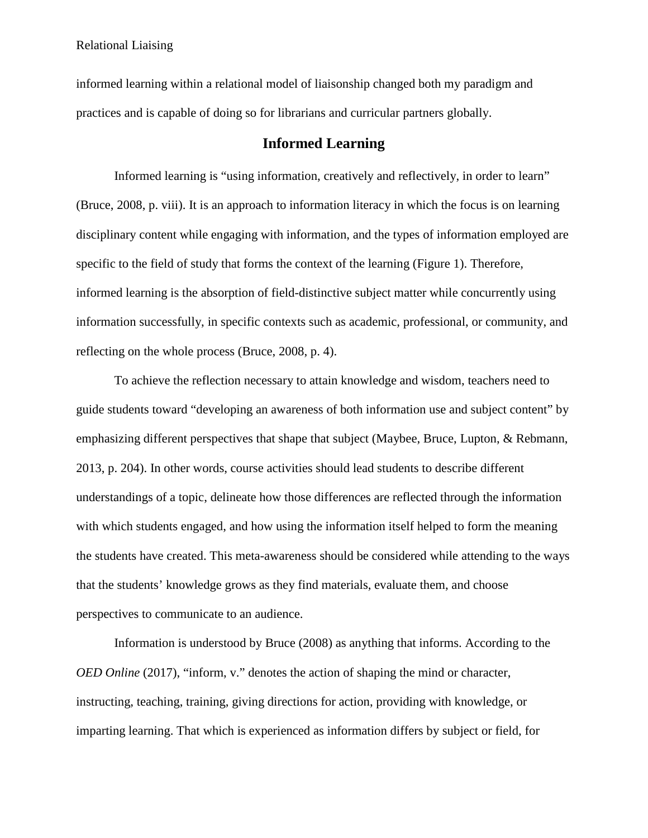informed learning within a relational model of liaisonship changed both my paradigm and practices and is capable of doing so for librarians and curricular partners globally.

## **Informed Learning**

Informed learning is "using information, creatively and reflectively, in order to learn" (Bruce, 2008, p. viii). It is an approach to information literacy in which the focus is on learning disciplinary content while engaging with information, and the types of information employed are specific to the field of study that forms the context of the learning (Figure 1). Therefore, informed learning is the absorption of field-distinctive subject matter while concurrently using information successfully, in specific contexts such as academic, professional, or community, and reflecting on the whole process (Bruce, 2008, p. 4).

To achieve the reflection necessary to attain knowledge and wisdom, teachers need to guide students toward "developing an awareness of both information use and subject content" by emphasizing different perspectives that shape that subject (Maybee, Bruce, Lupton, & Rebmann, 2013, p. 204). In other words, course activities should lead students to describe different understandings of a topic, delineate how those differences are reflected through the information with which students engaged, and how using the information itself helped to form the meaning the students have created. This meta-awareness should be considered while attending to the ways that the students' knowledge grows as they find materials, evaluate them, and choose perspectives to communicate to an audience.

Information is understood by Bruce (2008) as anything that informs. According to the *OED Online* (2017), "inform, v." denotes the action of shaping the mind or character, instructing, teaching, training, giving directions for action, providing with knowledge, or imparting learning. That which is experienced as information differs by subject or field, for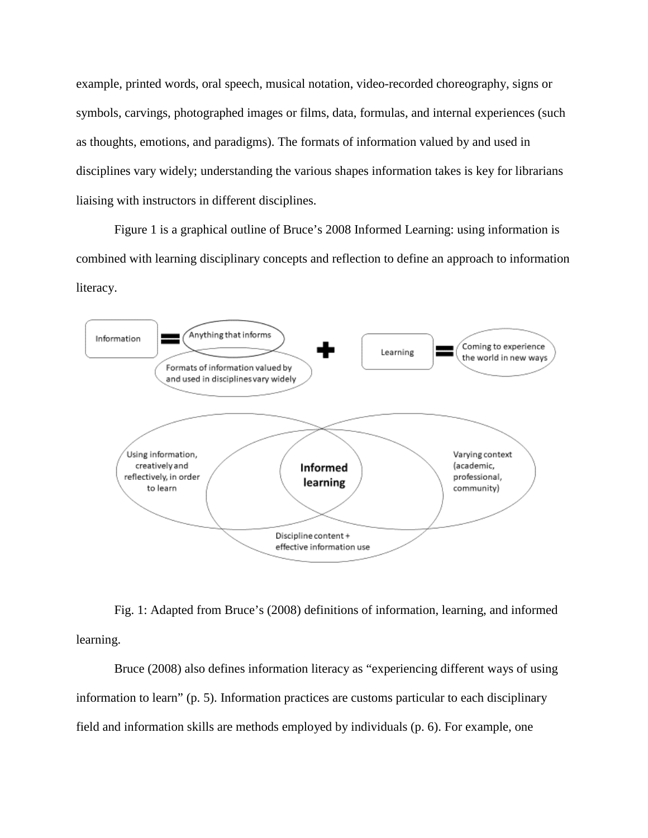example, printed words, oral speech, musical notation, video-recorded choreography, signs or symbols, carvings, photographed images or films, data, formulas, and internal experiences (such as thoughts, emotions, and paradigms). The formats of information valued by and used in disciplines vary widely; understanding the various shapes information takes is key for librarians liaising with instructors in different disciplines.

Figure 1 is a graphical outline of Bruce's 2008 Informed Learning: using information is combined with learning disciplinary concepts and reflection to define an approach to information literacy.



Fig. 1: Adapted from Bruce's (2008) definitions of information, learning, and informed learning.

Bruce (2008) also defines information literacy as "experiencing different ways of using information to learn" (p. 5). Information practices are customs particular to each disciplinary field and information skills are methods employed by individuals (p. 6). For example, one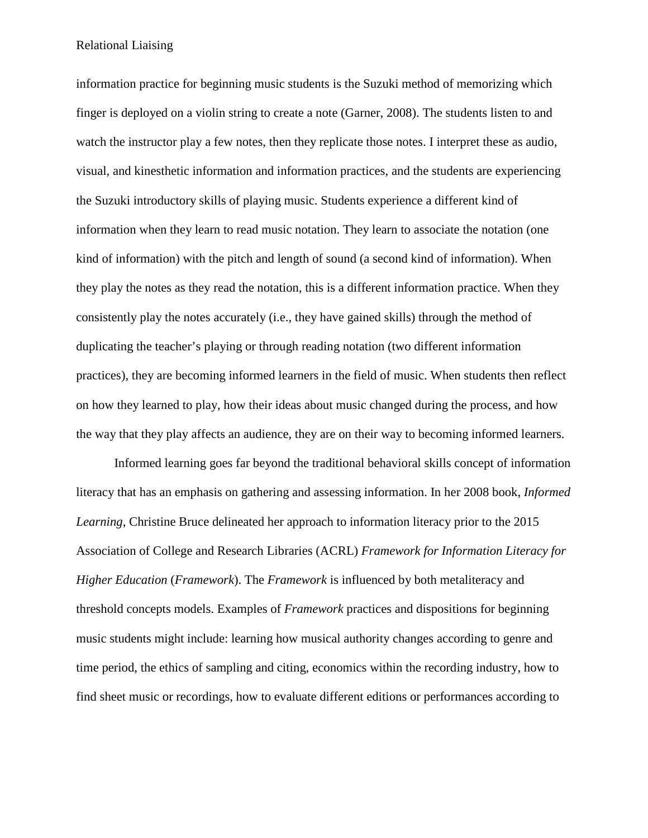information practice for beginning music students is the Suzuki method of memorizing which finger is deployed on a violin string to create a note (Garner, 2008). The students listen to and watch the instructor play a few notes, then they replicate those notes. I interpret these as audio, visual, and kinesthetic information and information practices, and the students are experiencing the Suzuki introductory skills of playing music. Students experience a different kind of information when they learn to read music notation. They learn to associate the notation (one kind of information) with the pitch and length of sound (a second kind of information). When they play the notes as they read the notation, this is a different information practice. When they consistently play the notes accurately (i.e., they have gained skills) through the method of duplicating the teacher's playing or through reading notation (two different information practices), they are becoming informed learners in the field of music. When students then reflect on how they learned to play, how their ideas about music changed during the process, and how the way that they play affects an audience, they are on their way to becoming informed learners.

Informed learning goes far beyond the traditional behavioral skills concept of information literacy that has an emphasis on gathering and assessing information. In her 2008 book, *Informed Learning*, Christine Bruce delineated her approach to information literacy prior to the 2015 Association of College and Research Libraries (ACRL) *Framework for Information Literacy for Higher Education* (*Framework*). The *Framework* is influenced by both metaliteracy and threshold concepts models. Examples of *Framework* practices and dispositions for beginning music students might include: learning how musical authority changes according to genre and time period, the ethics of sampling and citing, economics within the recording industry, how to find sheet music or recordings, how to evaluate different editions or performances according to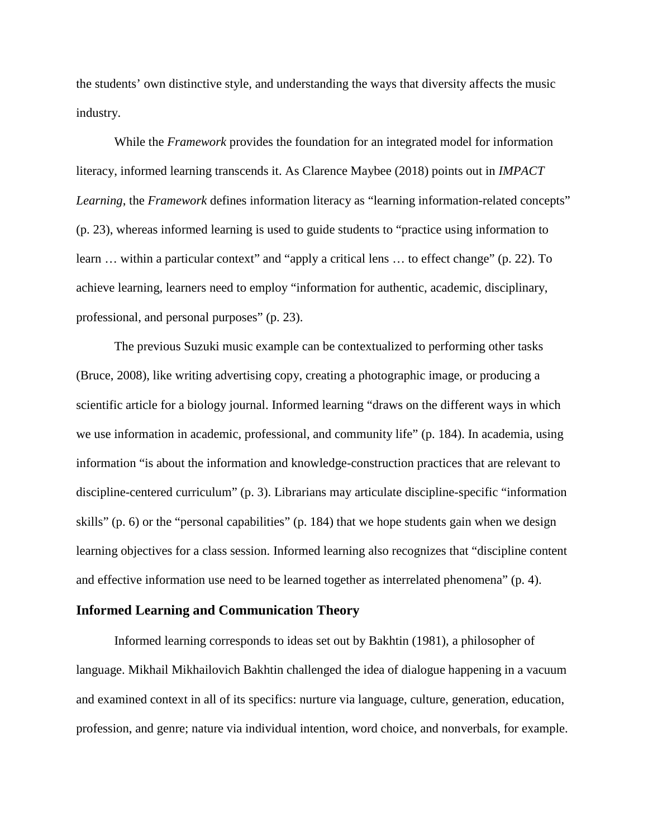the students' own distinctive style, and understanding the ways that diversity affects the music industry.

While the *Framework* provides the foundation for an integrated model for information literacy, informed learning transcends it. As Clarence Maybee (2018) points out in *IMPACT Learning*, the *Framework* defines information literacy as "learning information-related concepts" (p. 23), whereas informed learning is used to guide students to "practice using information to learn ... within a particular context" and "apply a critical lens ... to effect change" (p. 22). To achieve learning, learners need to employ "information for authentic, academic, disciplinary, professional, and personal purposes" (p. 23).

The previous Suzuki music example can be contextualized to performing other tasks (Bruce, 2008), like writing advertising copy, creating a photographic image, or producing a scientific article for a biology journal. Informed learning "draws on the different ways in which we use information in academic, professional, and community life" (p. 184). In academia, using information "is about the information and knowledge-construction practices that are relevant to discipline-centered curriculum" (p. 3). Librarians may articulate discipline-specific "information skills" (p. 6) or the "personal capabilities" (p. 184) that we hope students gain when we design learning objectives for a class session. Informed learning also recognizes that "discipline content and effective information use need to be learned together as interrelated phenomena" (p. 4).

#### **Informed Learning and Communication Theory**

Informed learning corresponds to ideas set out by Bakhtin (1981), a philosopher of language. Mikhail Mikhailovich Bakhtin challenged the idea of dialogue happening in a vacuum and examined context in all of its specifics: nurture via language, culture, generation, education, profession, and genre; nature via individual intention, word choice, and nonverbals, for example.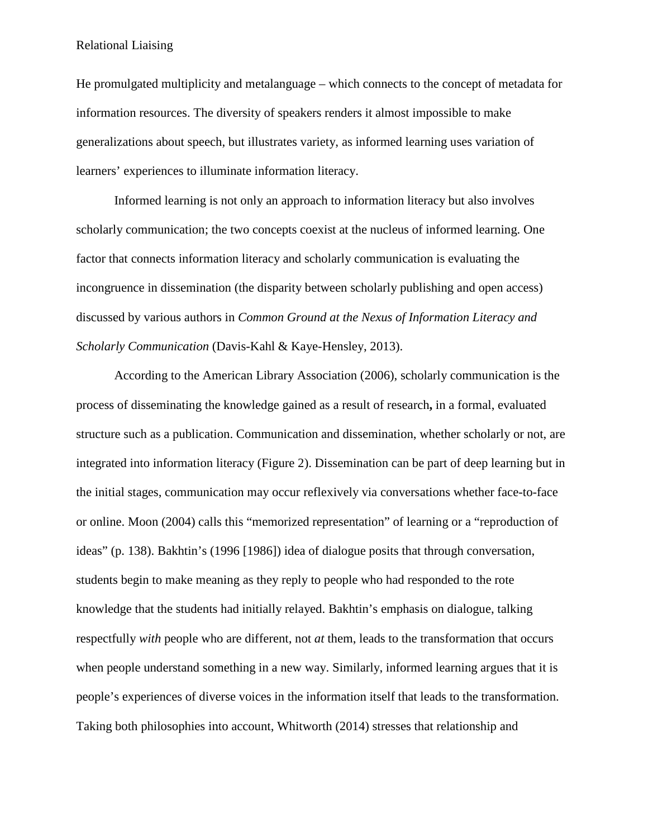He promulgated multiplicity and metalanguage – which connects to the concept of metadata for information resources. The diversity of speakers renders it almost impossible to make generalizations about speech, but illustrates variety, as informed learning uses variation of learners' experiences to illuminate information literacy.

Informed learning is not only an approach to information literacy but also involves scholarly communication; the two concepts coexist at the nucleus of informed learning. One factor that connects information literacy and scholarly communication is evaluating the incongruence in dissemination (the disparity between scholarly publishing and open access) discussed by various authors in *Common Ground at the Nexus of Information Literacy and Scholarly Communication* (Davis-Kahl & Kaye-Hensley, 2013).

According to the American Library Association (2006), scholarly communication is the process of disseminating the knowledge gained as a result of research**,** in a formal, evaluated structure such as a publication. Communication and dissemination, whether scholarly or not, are integrated into information literacy (Figure 2). Dissemination can be part of deep learning but in the initial stages, communication may occur reflexively via conversations whether face-to-face or online. Moon (2004) calls this "memorized representation" of learning or a "reproduction of ideas" (p. 138). Bakhtin's (1996 [1986]) idea of dialogue posits that through conversation, students begin to make meaning as they reply to people who had responded to the rote knowledge that the students had initially relayed. Bakhtin's emphasis on dialogue, talking respectfully *with* people who are different, not *at* them, leads to the transformation that occurs when people understand something in a new way. Similarly, informed learning argues that it is people's experiences of diverse voices in the information itself that leads to the transformation. Taking both philosophies into account, Whitworth (2014) stresses that relationship and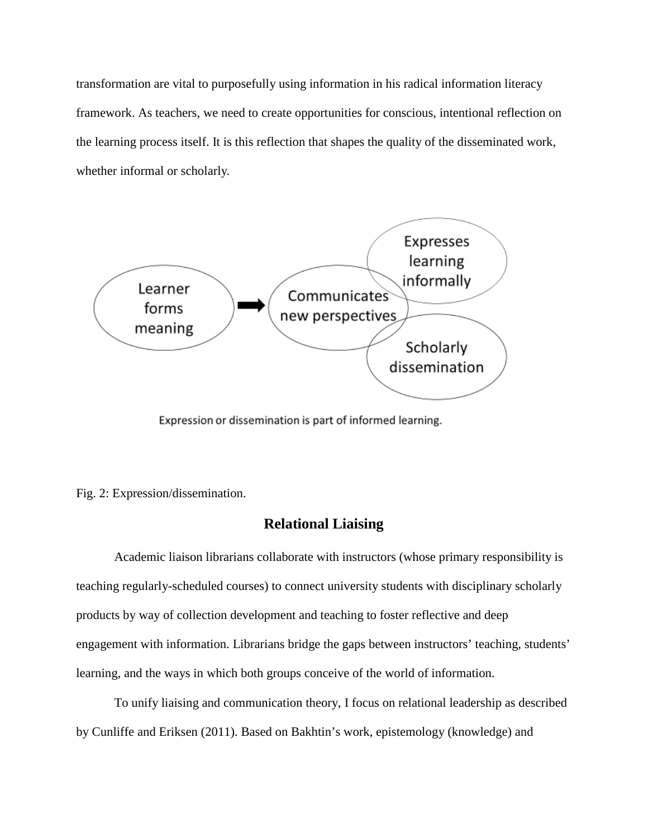transformation are vital to purposefully using information in his radical information literacy framework. As teachers, we need to create opportunities for conscious, intentional reflection on the learning process itself. It is this reflection that shapes the quality of the disseminated work, whether informal or scholarly.



Expression or dissemination is part of informed learning.

#### Fig. 2: Expression/dissemination.

#### **Relational Liaising**

Academic liaison librarians collaborate with instructors (whose primary responsibility is teaching regularly-scheduled courses) to connect university students with disciplinary scholarly products by way of collection development and teaching to foster reflective and deep engagement with information. Librarians bridge the gaps between instructors' teaching, students' learning, and the ways in which both groups conceive of the world of information.

To unify liaising and communication theory, I focus on relational leadership as described by Cunliffe and Eriksen (2011). Based on Bakhtin's work, epistemology (knowledge) and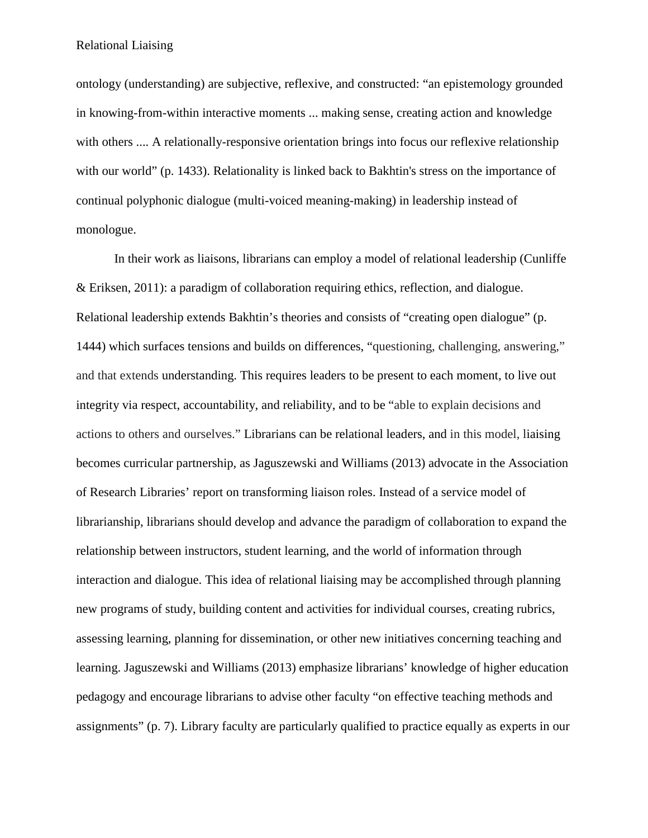ontology (understanding) are subjective, reflexive, and constructed: "an epistemology grounded in knowing-from-within interactive moments ... making sense, creating action and knowledge with others .... A relationally-responsive orientation brings into focus our reflexive relationship with our world" (p. 1433). Relationality is linked back to Bakhtin's stress on the importance of continual polyphonic dialogue (multi-voiced meaning-making) in leadership instead of monologue.

In their work as liaisons, librarians can employ a model of relational leadership (Cunliffe & Eriksen, 2011): a paradigm of collaboration requiring ethics, reflection, and dialogue. Relational leadership extends Bakhtin's theories and consists of "creating open dialogue" (p. 1444) which surfaces tensions and builds on differences, "questioning, challenging, answering," and that extends understanding. This requires leaders to be present to each moment, to live out integrity via respect, accountability, and reliability, and to be "able to explain decisions and actions to others and ourselves." Librarians can be relational leaders, and in this model, liaising becomes curricular partnership, as Jaguszewski and Williams (2013) advocate in the Association of Research Libraries' report on transforming liaison roles. Instead of a service model of librarianship, librarians should develop and advance the paradigm of collaboration to expand the relationship between instructors, student learning, and the world of information through interaction and dialogue. This idea of relational liaising may be accomplished through planning new programs of study, building content and activities for individual courses, creating rubrics, assessing learning, planning for dissemination, or other new initiatives concerning teaching and learning. Jaguszewski and Williams (2013) emphasize librarians' knowledge of higher education pedagogy and encourage librarians to advise other faculty "on effective teaching methods and assignments" (p. 7). Library faculty are particularly qualified to practice equally as experts in our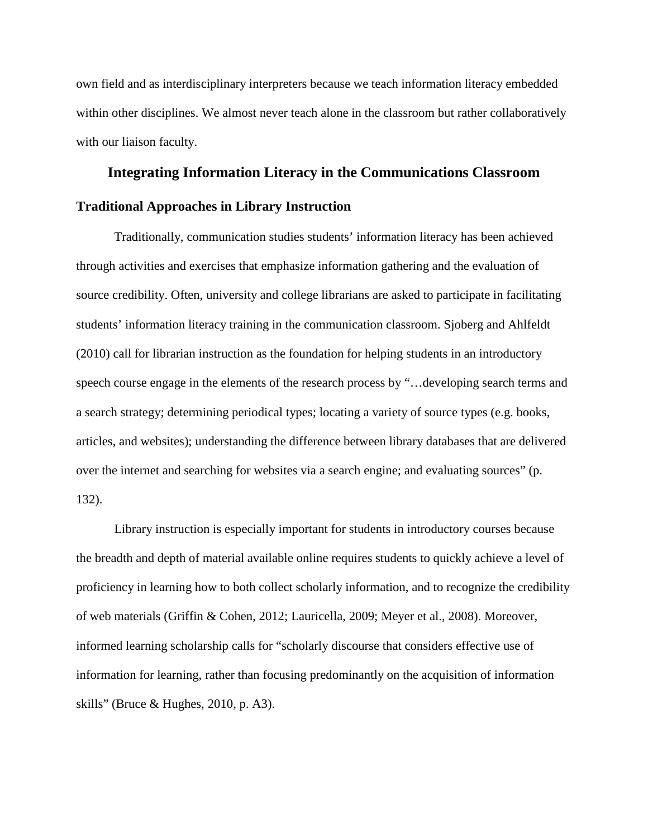own field and as interdisciplinary interpreters because we teach information literacy embedded within other disciplines. We almost never teach alone in the classroom but rather collaboratively with our liaison faculty.

## **Integrating Information Literacy in the Communications Classroom Traditional Approaches in Library Instruction**

Traditionally, communication studies students' information literacy has been achieved through activities and exercises that emphasize information gathering and the evaluation of source credibility. Often, university and college librarians are asked to participate in facilitating students' information literacy training in the communication classroom. Sjoberg and Ahlfeldt (2010) call for librarian instruction as the foundation for helping students in an introductory speech course engage in the elements of the research process by "…developing search terms and a search strategy; determining periodical types; locating a variety of source types (e.g. books, articles, and websites); understanding the difference between library databases that are delivered over the internet and searching for websites via a search engine; and evaluating sources" (p. 132).

Library instruction is especially important for students in introductory courses because the breadth and depth of material available online requires students to quickly achieve a level of proficiency in learning how to both collect scholarly information, and to recognize the credibility of web materials (Griffin & Cohen, 2012; Lauricella, 2009; Meyer et al., 2008). Moreover, informed learning scholarship calls for "scholarly discourse that considers effective use of information for learning, rather than focusing predominantly on the acquisition of information skills" (Bruce & Hughes, 2010, p. A3).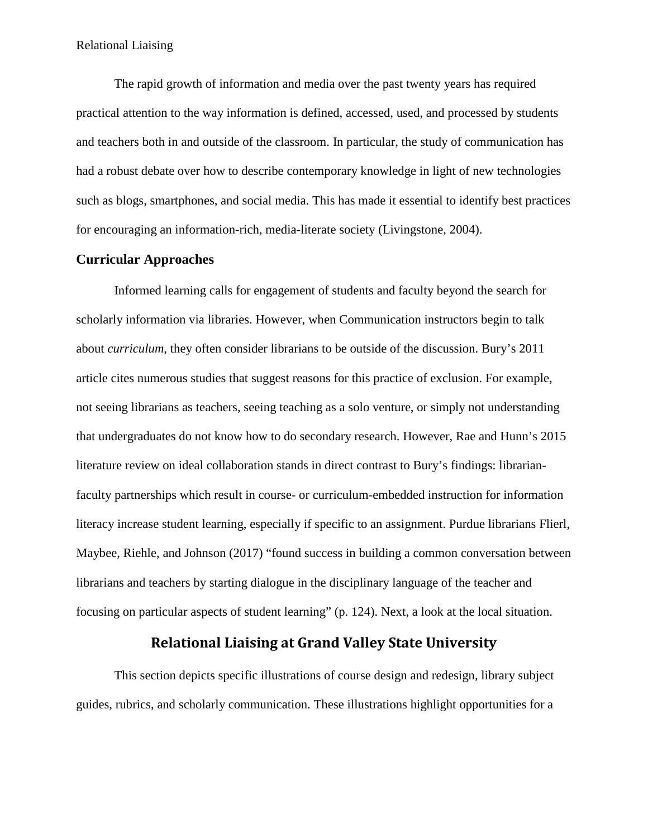The rapid growth of information and media over the past twenty years has required practical attention to the way information is defined, accessed, used, and processed by students and teachers both in and outside of the classroom. In particular, the study of communication has had a robust debate over how to describe contemporary knowledge in light of new technologies such as blogs, smartphones, and social media. This has made it essential to identify best practices for encouraging an information-rich, media-literate society (Livingstone, 2004).

#### **Curricular Approaches**

Informed learning calls for engagement of students and faculty beyond the search for scholarly information via libraries. However, when Communication instructors begin to talk about *curriculum*, they often consider librarians to be outside of the discussion. Bury's 2011 article cites numerous studies that suggest reasons for this practice of exclusion. For example, not seeing librarians as teachers, seeing teaching as a solo venture, or simply not understanding that undergraduates do not know how to do secondary research. However, Rae and Hunn's 2015 literature review on ideal collaboration stands in direct contrast to Bury's findings: librarianfaculty partnerships which result in course- or curriculum-embedded instruction for information literacy increase student learning, especially if specific to an assignment. Purdue librarians Flierl, Maybee, Riehle, and Johnson (2017) "found success in building a common conversation between librarians and teachers by starting dialogue in the disciplinary language of the teacher and focusing on particular aspects of student learning" (p. 124). Next, a look at the local situation.

## **Relational Liaising at Grand Valley State University**

This section depicts specific illustrations of course design and redesign, library subject guides, rubrics, and scholarly communication. These illustrations highlight opportunities for a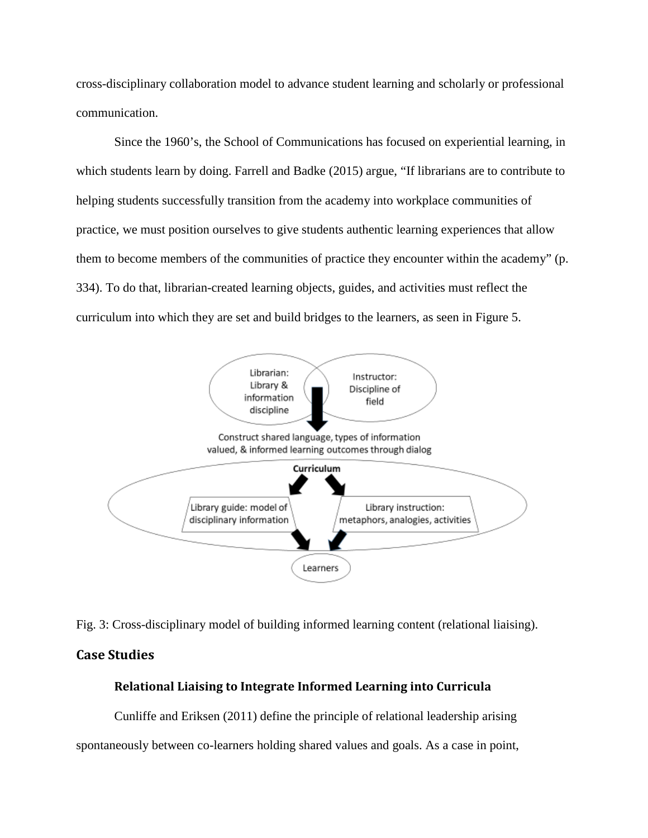cross-disciplinary collaboration model to advance student learning and scholarly or professional communication.

Since the 1960's, the School of Communications has focused on experiential learning, in which students learn by doing. Farrell and Badke (2015) argue, "If librarians are to contribute to helping students successfully transition from the academy into workplace communities of practice, we must position ourselves to give students authentic learning experiences that allow them to become members of the communities of practice they encounter within the academy" (p. 334). To do that, librarian-created learning objects, guides, and activities must reflect the curriculum into which they are set and build bridges to the learners, as seen in Figure 5.



Fig. 3: Cross-disciplinary model of building informed learning content (relational liaising).

#### **Case Studies**

#### **Relational Liaising to Integrate Informed Learning into Curricula**

Cunliffe and Eriksen (2011) define the principle of relational leadership arising spontaneously between co-learners holding shared values and goals. As a case in point,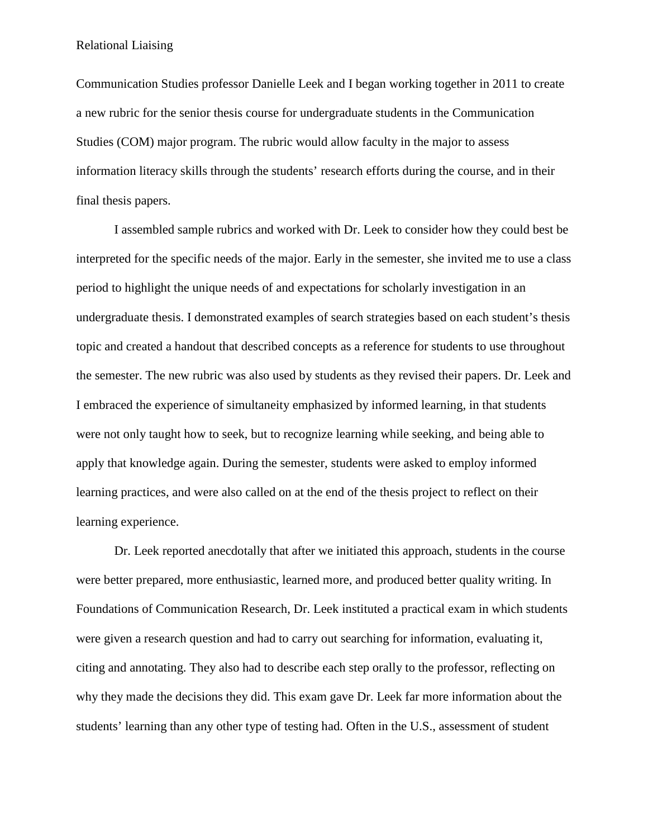Communication Studies professor Danielle Leek and I began working together in 2011 to create a new rubric for the senior thesis course for undergraduate students in the Communication Studies (COM) major program. The rubric would allow faculty in the major to assess information literacy skills through the students' research efforts during the course, and in their final thesis papers.

I assembled sample rubrics and worked with Dr. Leek to consider how they could best be interpreted for the specific needs of the major. Early in the semester, she invited me to use a class period to highlight the unique needs of and expectations for scholarly investigation in an undergraduate thesis. I demonstrated examples of search strategies based on each student's thesis topic and created a handout that described concepts as a reference for students to use throughout the semester. The new rubric was also used by students as they revised their papers. Dr. Leek and I embraced the experience of simultaneity emphasized by informed learning, in that students were not only taught how to seek, but to recognize learning while seeking, and being able to apply that knowledge again. During the semester, students were asked to employ informed learning practices, and were also called on at the end of the thesis project to reflect on their learning experience.

Dr. Leek reported anecdotally that after we initiated this approach, students in the course were better prepared, more enthusiastic, learned more, and produced better quality writing. In Foundations of Communication Research, Dr. Leek instituted a practical exam in which students were given a research question and had to carry out searching for information, evaluating it, citing and annotating. They also had to describe each step orally to the professor, reflecting on why they made the decisions they did. This exam gave Dr. Leek far more information about the students' learning than any other type of testing had. Often in the U.S., assessment of student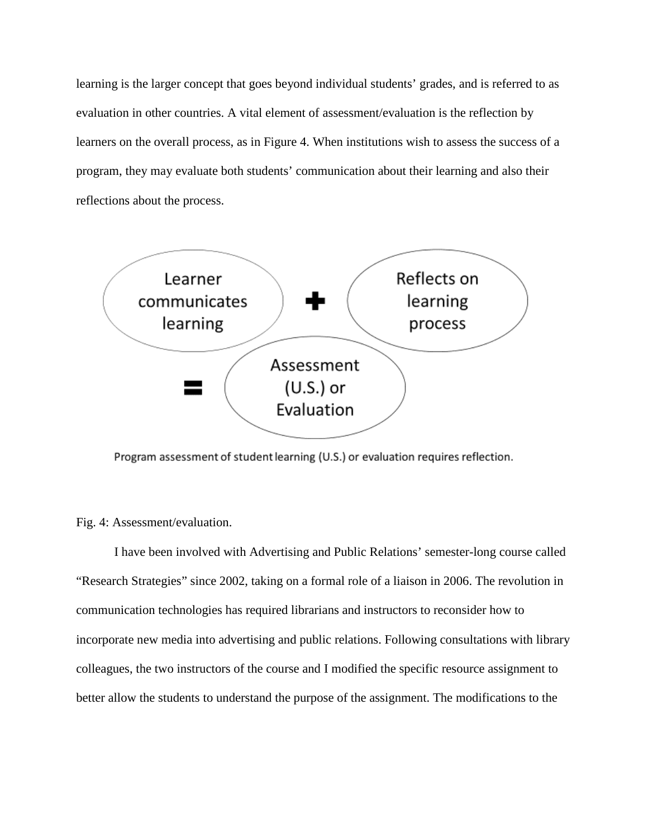learning is the larger concept that goes beyond individual students' grades, and is referred to as evaluation in other countries. A vital element of assessment/evaluation is the reflection by learners on the overall process, as in Figure 4. When institutions wish to assess the success of a program, they may evaluate both students' communication about their learning and also their reflections about the process.



Program assessment of student learning (U.S.) or evaluation requires reflection.

Fig. 4: Assessment/evaluation.

I have been involved with Advertising and Public Relations' semester-long course called "Research Strategies" since 2002, taking on a formal role of a liaison in 2006. The revolution in communication technologies has required librarians and instructors to reconsider how to incorporate new media into advertising and public relations. Following consultations with library colleagues, the two instructors of the course and I modified the specific resource assignment to better allow the students to understand the purpose of the assignment. The modifications to the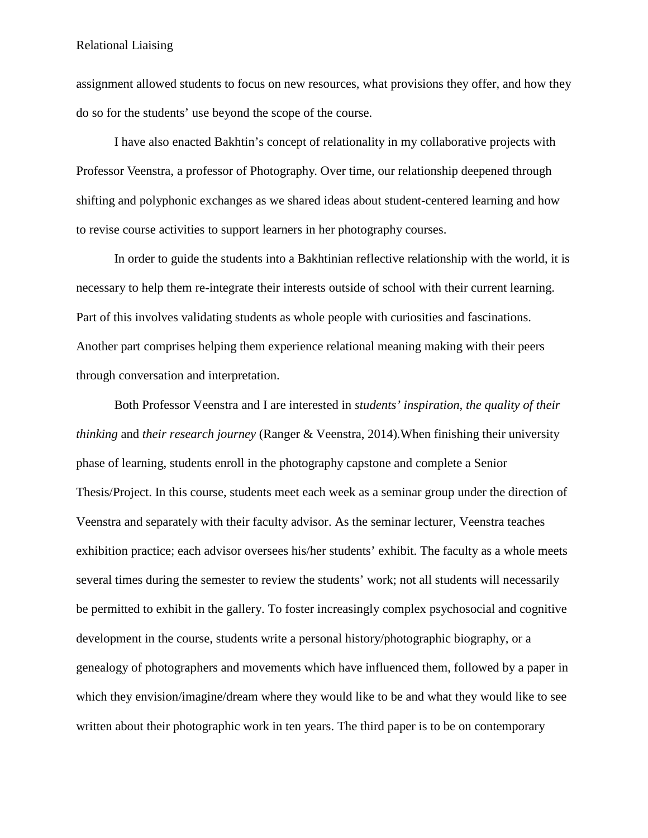assignment allowed students to focus on new resources, what provisions they offer, and how they do so for the students' use beyond the scope of the course.

I have also enacted Bakhtin's concept of relationality in my collaborative projects with Professor Veenstra, a professor of Photography. Over time, our relationship deepened through shifting and polyphonic exchanges as we shared ideas about student-centered learning and how to revise course activities to support learners in her photography courses.

In order to guide the students into a Bakhtinian reflective relationship with the world, it is necessary to help them re-integrate their interests outside of school with their current learning. Part of this involves validating students as whole people with curiosities and fascinations. Another part comprises helping them experience relational meaning making with their peers through conversation and interpretation.

Both Professor Veenstra and I are interested in *students' inspiration, the quality of their thinking* and *their research journey* (Ranger & Veenstra, 2014)*.*When finishing their university phase of learning, students enroll in the photography capstone and complete a Senior Thesis/Project. In this course, students meet each week as a seminar group under the direction of Veenstra and separately with their faculty advisor. As the seminar lecturer, Veenstra teaches exhibition practice; each advisor oversees his/her students' exhibit. The faculty as a whole meets several times during the semester to review the students' work; not all students will necessarily be permitted to exhibit in the gallery. To foster increasingly complex psychosocial and cognitive development in the course, students write a personal history/photographic biography, or a genealogy of photographers and movements which have influenced them, followed by a paper in which they envision/imagine/dream where they would like to be and what they would like to see written about their photographic work in ten years. The third paper is to be on contemporary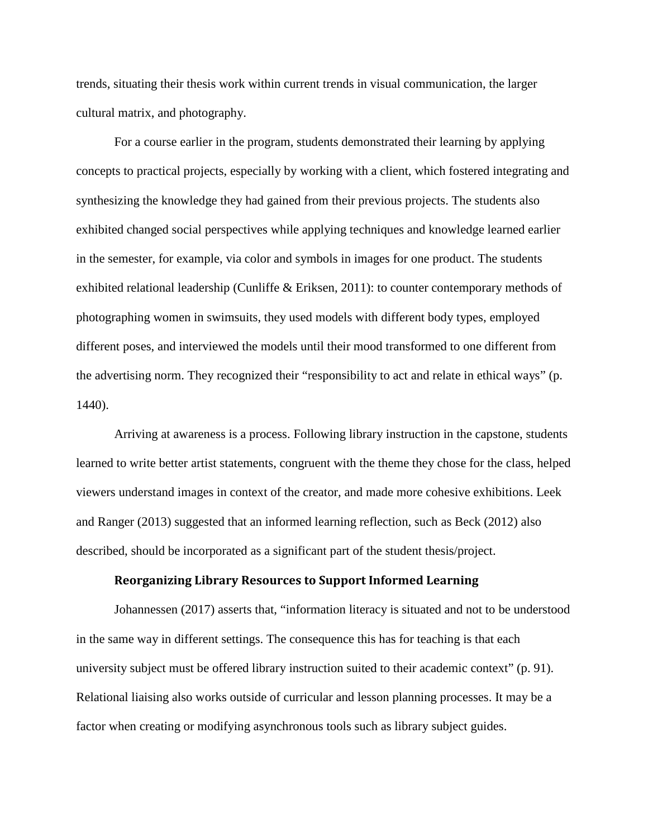trends, situating their thesis work within current trends in visual communication, the larger cultural matrix, and photography.

For a course earlier in the program, students demonstrated their learning by applying concepts to practical projects, especially by working with a client, which fostered integrating and synthesizing the knowledge they had gained from their previous projects. The students also exhibited changed social perspectives while applying techniques and knowledge learned earlier in the semester, for example, via color and symbols in images for one product. The students exhibited relational leadership (Cunliffe & Eriksen, 2011): to counter contemporary methods of photographing women in swimsuits, they used models with different body types, employed different poses, and interviewed the models until their mood transformed to one different from the advertising norm. They recognized their "responsibility to act and relate in ethical ways" (p. 1440).

Arriving at awareness is a process. Following library instruction in the capstone, students learned to write better artist statements, congruent with the theme they chose for the class, helped viewers understand images in context of the creator, and made more cohesive exhibitions. Leek and Ranger (2013) suggested that an informed learning reflection, such as Beck (2012) also described, should be incorporated as a significant part of the student thesis/project.

#### **Reorganizing Library Resources to Support Informed Learning**

Johannessen (2017) asserts that, "information literacy is situated and not to be understood in the same way in different settings. The consequence this has for teaching is that each university subject must be offered library instruction suited to their academic context" (p. 91). Relational liaising also works outside of curricular and lesson planning processes. It may be a factor when creating or modifying asynchronous tools such as library subject guides.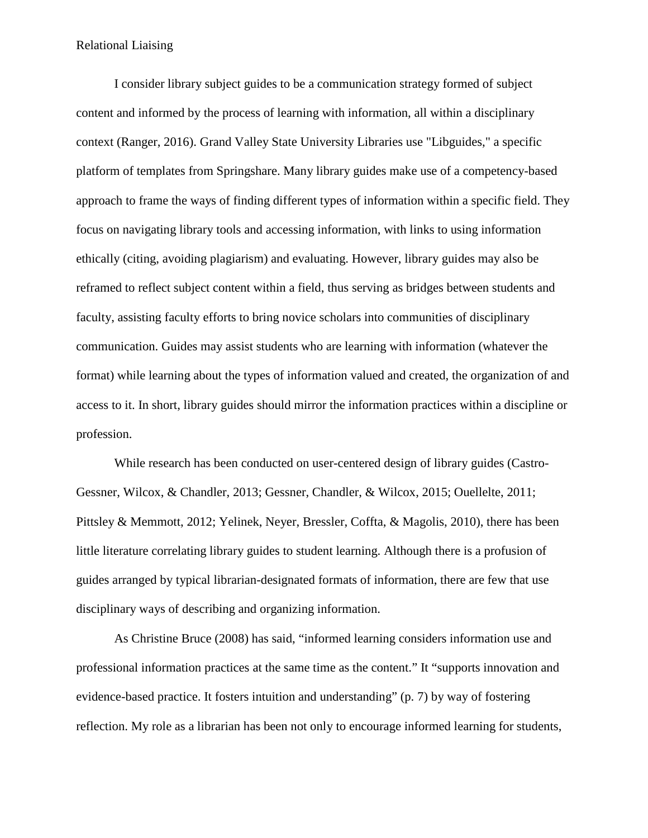I consider library subject guides to be a communication strategy formed of subject content and informed by the process of learning with information, all within a disciplinary context (Ranger, 2016). Grand Valley State University Libraries use "Libguides," a specific platform of templates from Springshare. Many library guides make use of a competency-based approach to frame the ways of finding different types of information within a specific field. They focus on navigating library tools and accessing information, with links to using information ethically (citing, avoiding plagiarism) and evaluating. However, library guides may also be reframed to reflect subject content within a field, thus serving as bridges between students and faculty, assisting faculty efforts to bring novice scholars into communities of disciplinary communication. Guides may assist students who are learning with information (whatever the format) while learning about the types of information valued and created, the organization of and access to it. In short, library guides should mirror the information practices within a discipline or profession.

While research has been conducted on user-centered design of library guides (Castro-Gessner, Wilcox, & Chandler, 2013; Gessner, Chandler, & Wilcox, 2015; Ouellelte, 2011; Pittsley & Memmott, 2012; Yelinek, Neyer, Bressler, Coffta, & Magolis, 2010), there has been little literature correlating library guides to student learning. Although there is a profusion of guides arranged by typical librarian-designated formats of information, there are few that use disciplinary ways of describing and organizing information.

As Christine Bruce (2008) has said, "informed learning considers information use and professional information practices at the same time as the content." It "supports innovation and evidence-based practice. It fosters intuition and understanding" (p. 7) by way of fostering reflection. My role as a librarian has been not only to encourage informed learning for students,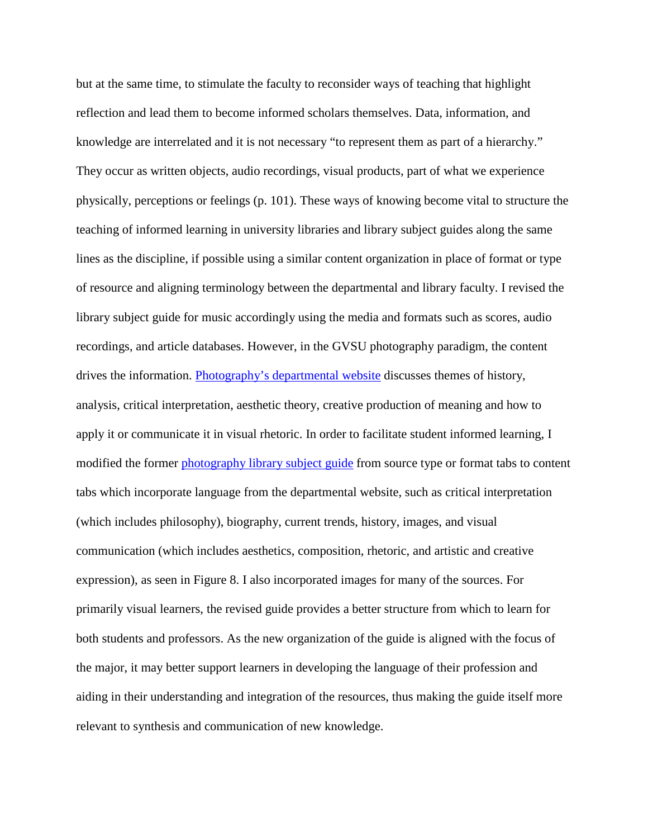but at the same time, to stimulate the faculty to reconsider ways of teaching that highlight reflection and lead them to become informed scholars themselves. Data, information, and knowledge are interrelated and it is not necessary "to represent them as part of a hierarchy." They occur as written objects, audio recordings, visual products, part of what we experience physically, perceptions or feelings (p. 101). These ways of knowing become vital to structure the teaching of informed learning in university libraries and library subject guides along the same lines as the discipline, if possible using a similar content organization in place of format or type of resource and aligning terminology between the departmental and library faculty. I revised the library subject guide for music accordingly using the media and formats such as scores, audio recordings, and article databases. However, in the GVSU photography paradigm, the content drives the information. [Photography's departmental website](https://www.gvsu.edu/vma/photography-199.htm) discusses themes of history, analysis, critical interpretation, aesthetic theory, creative production of meaning and how to apply it or communicate it in visual rhetoric. In order to facilitate student informed learning, I modified the former [photography library subject guide](https://libguides.gvsu.edu/photography) from source type or format tabs to content tabs which incorporate language from the departmental website, such as critical interpretation (which includes philosophy), biography, current trends, history, images, and visual communication (which includes aesthetics, composition, rhetoric, and artistic and creative expression), as seen in Figure 8. I also incorporated images for many of the sources. For primarily visual learners, the revised guide provides a better structure from which to learn for both students and professors. As the new organization of the guide is aligned with the focus of the major, it may better support learners in developing the language of their profession and aiding in their understanding and integration of the resources, thus making the guide itself more relevant to synthesis and communication of new knowledge.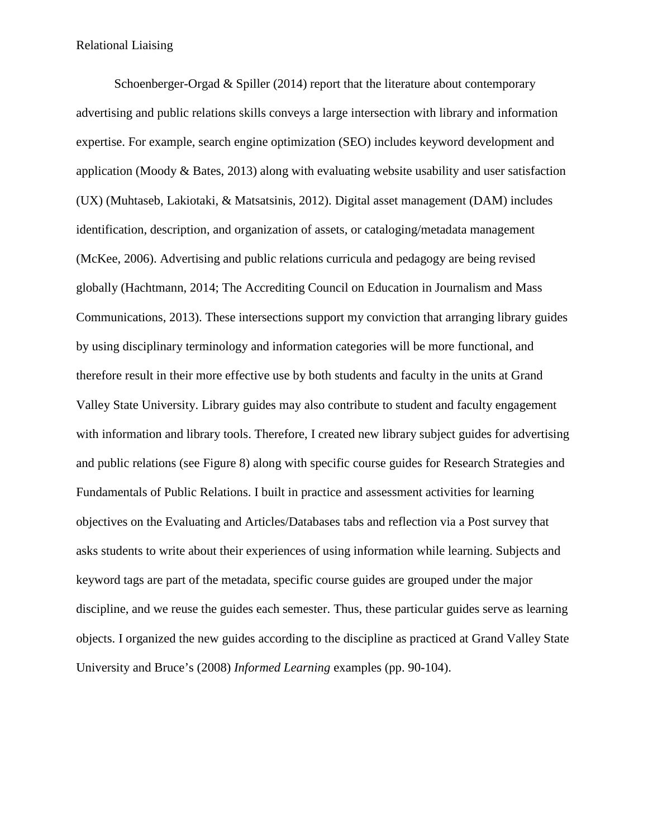Schoenberger-Orgad & Spiller (2014) report that the literature about contemporary advertising and public relations skills conveys a large intersection with library and information expertise. For example, search engine optimization (SEO) includes keyword development and application (Moody & Bates, 2013) along with evaluating website usability and user satisfaction (UX) (Muhtaseb, Lakiotaki, & Matsatsinis, 2012). Digital asset management (DAM) includes identification, description, and organization of assets, or cataloging/metadata management (McKee, 2006). Advertising and public relations curricula and pedagogy are being revised globally (Hachtmann, 2014; The Accrediting Council on Education in Journalism and Mass Communications, 2013). These intersections support my conviction that arranging library guides by using disciplinary terminology and information categories will be more functional, and therefore result in their more effective use by both students and faculty in the units at Grand Valley State University. Library guides may also contribute to student and faculty engagement with information and library tools. Therefore, I created new library subject guides for advertising and public relations (see Figure 8) along with specific course guides for Research Strategies and Fundamentals of Public Relations. I built in practice and assessment activities for learning objectives on the Evaluating and Articles/Databases tabs and reflection via a Post survey that asks students to write about their experiences of using information while learning. Subjects and keyword tags are part of the metadata, specific course guides are grouped under the major discipline, and we reuse the guides each semester. Thus, these particular guides serve as learning objects. I organized the new guides according to the discipline as practiced at Grand Valley State University and Bruce's (2008) *Informed Learning* examples (pp. 90-104).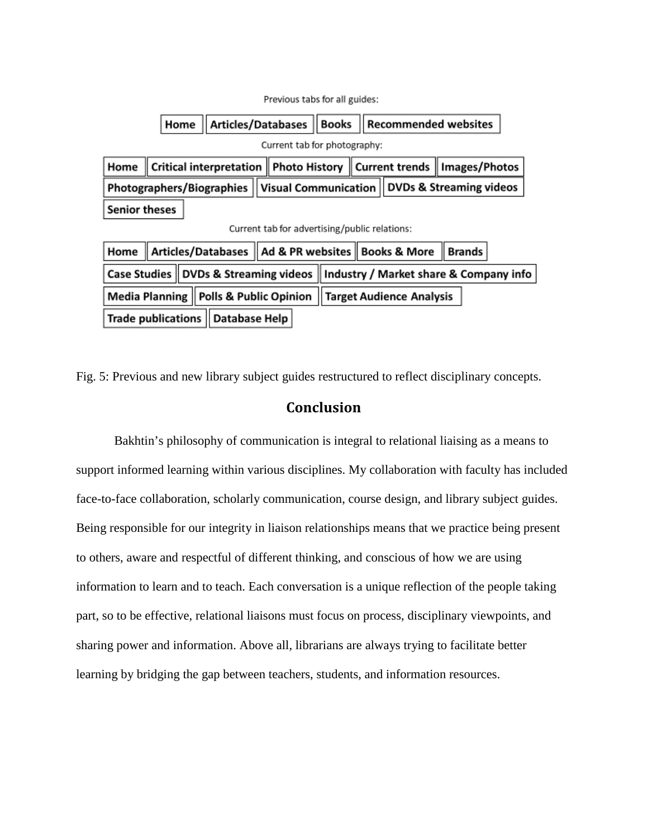|                                                   | Home               |                                          | <b>Articles/Databases</b> | Books                                           |                                        |                                 | <b>Recommended websites</b> |  |
|---------------------------------------------------|--------------------|------------------------------------------|---------------------------|-------------------------------------------------|----------------------------------------|---------------------------------|-----------------------------|--|
| Current tab for photography:                      |                    |                                          |                           |                                                 |                                        |                                 |                             |  |
| Home                                              |                    | Critical interpretation    Photo History |                           |                                                 |                                        | Current trends    Images/Photos |                             |  |
| Photographers/Biographies                         |                    |                                          |                           | Visual Communication    DVDs & Streaming videos |                                        |                                 |                             |  |
| <b>Senior theses</b>                              |                    |                                          |                           |                                                 |                                        |                                 |                             |  |
| Current tab for advertising/public relations:     |                    |                                          |                           |                                                 |                                        |                                 |                             |  |
| Home                                              | Articles/Databases |                                          |                           | Ad & PR websites   Books & More                 |                                        |                                 | <b>Brands</b>               |  |
| Case Studies   DVDs & Streaming videos            |                    |                                          |                           |                                                 | Industry / Market share & Company info |                                 |                             |  |
| Media Planning    Polls & Public Opinion          |                    |                                          |                           |                                                 | <b>Target Audience Analysis</b>        |                                 |                             |  |
| <b>Trade publications</b><br><b>Database Help</b> |                    |                                          |                           |                                                 |                                        |                                 |                             |  |

Previous tabs for all guides:

Fig. 5: Previous and new library subject guides restructured to reflect disciplinary concepts.

## **Conclusion**

Bakhtin's philosophy of communication is integral to relational liaising as a means to support informed learning within various disciplines. My collaboration with faculty has included face-to-face collaboration, scholarly communication, course design, and library subject guides. Being responsible for our integrity in liaison relationships means that we practice being present to others, aware and respectful of different thinking, and conscious of how we are using information to learn and to teach. Each conversation is a unique reflection of the people taking part, so to be effective, relational liaisons must focus on process, disciplinary viewpoints, and sharing power and information. Above all, librarians are always trying to facilitate better learning by bridging the gap between teachers, students, and information resources.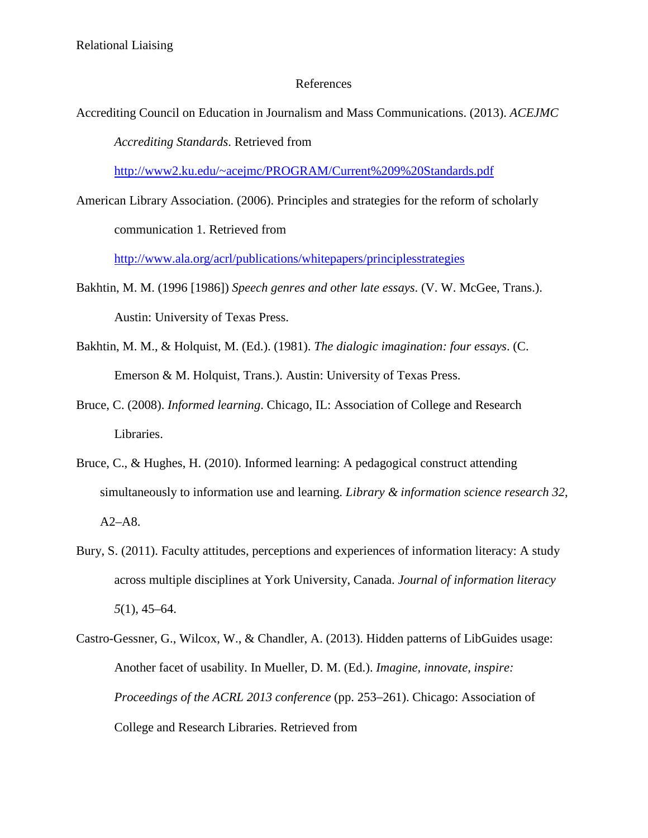#### References

Accrediting Council on Education in Journalism and Mass Communications. (2013). *ACEJMC Accrediting Standards*. Retrieved from

[http://www2.ku.edu/~acejmc/PROGRAM/Current%209%20Standards.pdf](http://www2.ku.edu/%7Eacejmc/PROGRAM/Current%209%20Standards.pdf)

American Library Association. (2006). Principles and strategies for the reform of scholarly communication 1. Retrieved from

<http://www.ala.org/acrl/publications/whitepapers/principlesstrategies>

- Bakhtin, M. M. (1996 [1986]) *Speech genres and other late essays*. (V. W. McGee, Trans.). Austin: University of Texas Press.
- Bakhtin, M. M., & Holquist, M. (Ed.). (1981). *The dialogic imagination: four essays*. (C. Emerson & M. Holquist, Trans.). Austin: University of Texas Press.
- Bruce, C. (2008). *Informed learning*. Chicago, IL: Association of College and Research Libraries.
- Bruce, C., & Hughes, H. (2010). Informed learning: A pedagogical construct attending simultaneously to information use and learning. *Library & information science research 32*, A2–A8.
- Bury, S. (2011). Faculty attitudes, perceptions and experiences of information literacy: A study across multiple disciplines at York University, Canada. *Journal of information literacy 5*(1), 45–64.
- Castro-Gessner, G., Wilcox, W., & Chandler, A. (2013). Hidden patterns of LibGuides usage: Another facet of usability. In Mueller, D. M. (Ed.). *Imagine, innovate, inspire: Proceedings of the ACRL 2013 conference* (pp. 253–261). Chicago: Association of College and Research Libraries. Retrieved from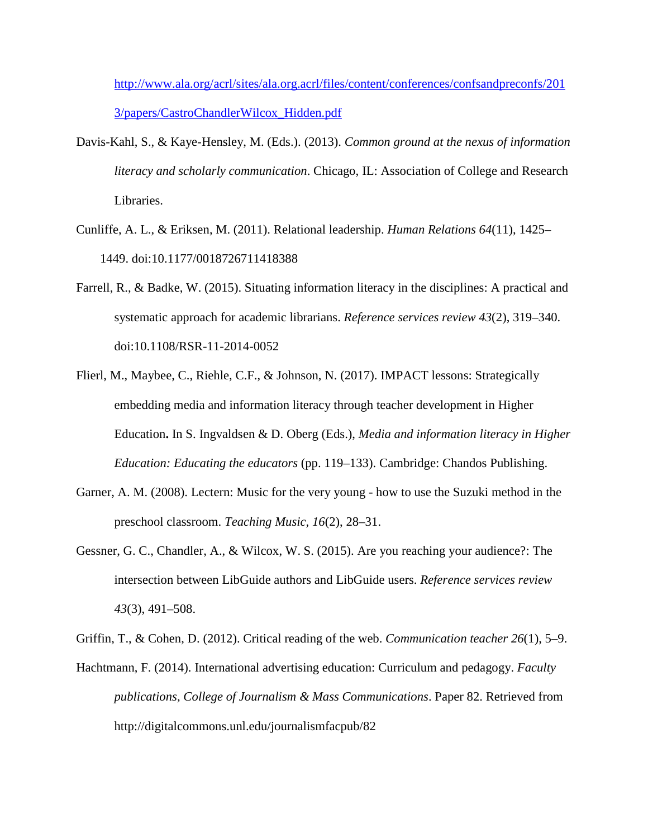[http://www.ala.org/acrl/sites/ala.org.acrl/files/content/conferences/confsandpreconfs/201](http://www.ala.org/acrl/sites/ala.org.acrl/files/content/conferences/confsandpreconfs/2013/papers/CastroChandlerWilcox_Hidden.pdf) [3/papers/CastroChandlerWilcox\\_Hidden.pdf](http://www.ala.org/acrl/sites/ala.org.acrl/files/content/conferences/confsandpreconfs/2013/papers/CastroChandlerWilcox_Hidden.pdf)

- Davis-Kahl, S., & Kaye-Hensley, M. (Eds.). (2013). *Common ground at the nexus of information literacy and scholarly communication*. Chicago, IL: Association of College and Research Libraries.
- Cunliffe, A. L., & Eriksen, M. (2011). Relational leadership. *Human Relations 64*(11), 1425– 1449. doi:10.1177/0018726711418388
- Farrell, R., & Badke, W. (2015). Situating information literacy in the disciplines: A practical and systematic approach for academic librarians. *Reference services review 43*(2), 319–340. doi:10.1108/RSR-11-2014-0052
- Flierl, M., Maybee, C., Riehle, C.F., & Johnson, N. (2017). [IMPACT lessons: Strategically](http://www.sciencedirect.com.ezp01.library.qut.edu.au/science/article/pii/B9780081006306000084)  [embedding media and information literacy through teacher development in Higher](http://www.sciencedirect.com.ezp01.library.qut.edu.au/science/article/pii/B9780081006306000084)  [Education](http://www.sciencedirect.com.ezp01.library.qut.edu.au/science/article/pii/B9780081006306000084)**.** In S. Ingvaldsen & D. Oberg (Eds.), *Media and information literacy in Higher Education: Educating the educators* (pp. 119–133). Cambridge: Chandos Publishing.
- Garner, A. M. (2008). Lectern: Music for the very young how to use the Suzuki method in the preschool classroom. *Teaching Music, 16*(2), 28–31.
- Gessner, G. C., Chandler, A., & Wilcox, W. S. (2015). Are you reaching your audience?: The intersection between LibGuide authors and LibGuide users. *Reference services review 43*(3), 491–508.

Griffin, T., & Cohen, D. (2012). Critical reading of the web. *[Communication teacher](http://www.tandfonline.com/toc/rcmt20/26/1) 26*(1), 5–9.

Hachtmann, F. (2014). International advertising education: Curriculum and pedagogy. *Faculty publications, College of Journalism & Mass Communications*. Paper 82. Retrieved from http://digitalcommons.unl.edu/journalismfacpub/82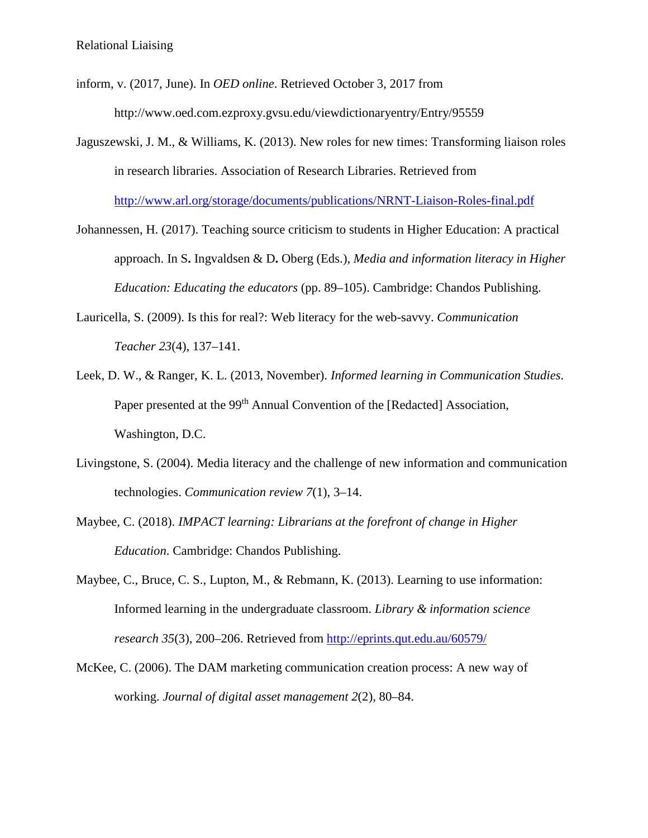- inform, v. (2017, June). In *OED online*. Retrieved October 3, 2017 from http://www.oed.com.ezproxy.gvsu.edu/viewdictionaryentry/Entry/95559
- Jaguszewski, J. M., & Williams, K. (2013). New roles for new times: Transforming liaison roles in research libraries. Association of Research Libraries. Retrieved from <http://www.arl.org/storage/documents/publications/NRNT-Liaison-Roles-final.pdf>
- Johannessen, H. (2017). Teaching source criticism to students in Higher Education: A practical approach. In S**.** Ingvaldsen & D**.** Oberg (Eds.), *Media and information literacy in Higher Education: Educating the educators* (pp. 89–105). Cambridge: Chandos Publishing.
- Lauricella, S. (2009). Is this for real?: Web literacy for the web-savvy. *Communication Teacher 23*(4), 137–141.
- Leek, D. W., & Ranger, K. L. (2013, November). *Informed learning in Communication Studies*. Paper presented at the 99<sup>th</sup> Annual Convention of the [Redacted] Association, Washington, D.C.
- Livingstone, S. (2004). Media literacy and the challenge of new information and communication technologies. *Communication review 7*(1), 3–14.
- Maybee, C. (2018). *IMPACT learning: Librarians at the forefront of change in Higher Education*. Cambridge: Chandos Publishing.
- Maybee, C., Bruce, C. S., Lupton, M., & Rebmann, K. (2013). Learning to use information: Informed learning in the undergraduate classroom. *Library & information science research 35*(3), 200–206. Retrieved from<http://eprints.qut.edu.au/60579/>
- McKee, C. (2006). The DAM marketing communication creation process: A new way of working. *Journal of digital asset management 2*(2), 80–84.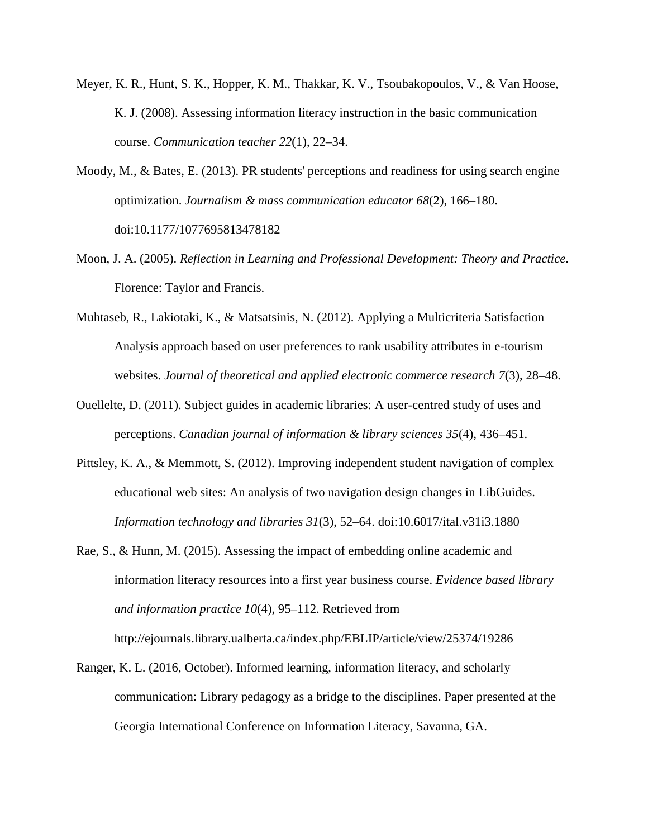- Meyer, K. R., Hunt, S. K., Hopper, K. M., Thakkar, K. V., Tsoubakopoulos, V., & Van Hoose, K. J. (2008). Assessing information literacy instruction in the basic communication course. *Communication teacher 22*(1), 22–34.
- Moody, M., & Bates, E. (2013). PR students' perceptions and readiness for using search engine optimization. *Journalism & mass communication educator 68*(2), 166–180. doi:10.1177/1077695813478182
- Moon, J. A. (2005). *Reflection in Learning and Professional Development: Theory and Practice*. Florence: Taylor and Francis.
- Muhtaseb, R., Lakiotaki, K., & Matsatsinis, N. (2012). Applying a Multicriteria Satisfaction Analysis approach based on user preferences to rank usability attributes in e-tourism websites. *Journal of theoretical and applied electronic commerce research 7*(3), 28–48.
- Ouellelte, D. (2011). Subject guides in academic libraries: A user-centred study of uses and perceptions. *Canadian journal of information & library sciences 35*(4), 436–451.
- Pittsley, K. A., & Memmott, S. (2012). Improving independent student navigation of complex educational web sites: An analysis of two navigation design changes in LibGuides. *Information technology and libraries 31*(3), 52–64. doi:10.6017/ital.v31i3.1880
- Rae, S., & Hunn, M. (2015). Assessing the impact of embedding online academic and information literacy resources into a first year business course. *Evidence based library and information practice 10*(4), 95–112. Retrieved from http://ejournals.library.ualberta.ca/index.php/EBLIP/article/view/25374/19286
- Ranger, K. L. (2016, October). Informed learning, information literacy, and scholarly communication: Library pedagogy as a bridge to the disciplines. Paper presented at the Georgia International Conference on Information Literacy, Savanna, GA.